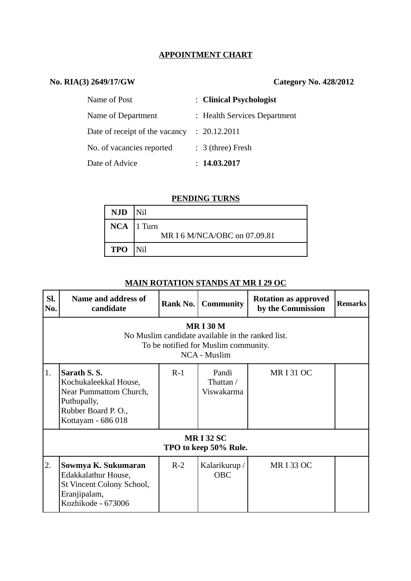## **APPOINTMENT CHART**

# **No. RIA(3) 2649/17/GW Category No. 428/2012**

| Name of Post                   | : Clinical Psychologist      |
|--------------------------------|------------------------------|
| Name of Department             | : Health Services Department |
| Date of receipt of the vacancy | : 20.12.2011                 |
| No. of vacancies reported      | $: 3$ (three) Fresh          |
| Date of Advice                 | : 14.03.2017                 |

### **PENDING TURNS**

| NJD   Nil        |                              |
|------------------|------------------------------|
| $NCA$   1 Turn   | MR I 6 M/NCA/OBC on 07.09.81 |
| <b>TPO</b>   Nil |                              |

# **MAIN ROTATION STANDS AT MR I 29 OC**

| SI.<br>No.                                                                                                                 | Name and address of<br>candidate                                                                                          | Rank No. | <b>Community</b>                 | <b>Rotation as approved</b><br>by the Commission | <b>Remarks</b> |  |  |  |
|----------------------------------------------------------------------------------------------------------------------------|---------------------------------------------------------------------------------------------------------------------------|----------|----------------------------------|--------------------------------------------------|----------------|--|--|--|
| <b>MRI30M</b><br>No Muslim candidate available in the ranked list.<br>To be notified for Muslim community.<br>NCA - Muslim |                                                                                                                           |          |                                  |                                                  |                |  |  |  |
| 1.                                                                                                                         | Sarath S.S.<br>Kochukaleekkal House,<br>Near Pummattom Church,<br>Puthupally,<br>Rubber Board P.O.,<br>Kottayam - 686 018 | $R-1$    | Pandi<br>Thattan /<br>Viswakarma | <b>MRI31OC</b>                                   |                |  |  |  |
| <b>MRI32 SC</b><br>TPO to keep 50% Rule.                                                                                   |                                                                                                                           |          |                                  |                                                  |                |  |  |  |
| 2.                                                                                                                         | Sowmya K. Sukumaran<br>Edakkalathur House,<br>St Vincent Colony School,<br>Eranjipalam,<br>Kozhikode - 673006             | $R-2$    | Kalarikurup /<br><b>OBC</b>      | <b>MRI33 OC</b>                                  |                |  |  |  |